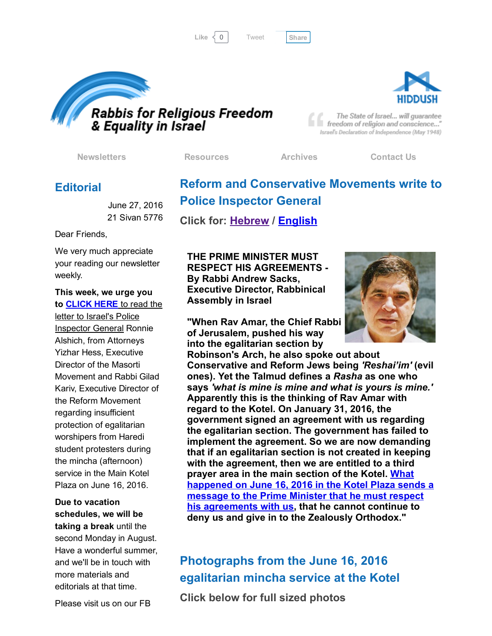[Tweet](https://twitter.com/intent/tweet?original_referer=http%3A%2F%2Fhosted.verticalresponse.com%2F577764%2F95a7d0459c%2F1468720181%2F325ceb4427%2F&ref_src=twsrc%5Etfw&text=Bulletin%3A%20Movements%20write%20Police%20Inspector%20General%3A&tw_p=tweetbutton&url=http%3A%2F%2Fhosted-p0.vresp.com%2F577764%2F95a7d0459c%2FARCHIVE%23.V3IxcwF3JJo.twitter)





The State of Israel... will guarantee freedom of religion and conscience..." Israel's Declaration of Independence (May 1948)

[Newsletters](http://cts.vresp.com/c/?FreedomofReligionfor/95a7d0459c/325ceb4427/00253d56af) [Resources](http://cts.vresp.com/c/?FreedomofReligionfor/95a7d0459c/325ceb4427/06e01a32b0) [Archives](http://cts.vresp.com/c/?FreedomofReligionfor/95a7d0459c/325ceb4427/671cae1201) [Contact](http://cts.vresp.com/c/?FreedomofReligionfor/95a7d0459c/325ceb4427/45986d06f7) Us

Reform and Conservative Movements write to

### **Editorial**

June 27, 2016 21 Sivan 5776

Dear Friends,

We very much appreciate your reading our newsletter weekly.

This week, we urge you to [CLICK](http://cts.vresp.com/c/?FreedomofReligionfor/95a7d0459c/325ceb4427/32c6a7e53e) HERE to read the letter to Israel's Police Inspector General Ronnie Alshich, from Attorneys Yizhar Hess, Executive Director of the Masorti Movement and Rabbi Gilad Kariv, Executive Director of the Reform Movement regarding insufficient protection of egalitarian worshipers from Haredi student protesters during the mincha (afternoon) service in the Main Kotel Plaza on June 16, 2016.

Due to vacation schedules, we will be taking a break until the second Monday in August. Have a wonderful summer, and we'll be in touch with more materials and editorials at that time.

THE PRIME MINISTER MUST RESPECT HIS AGREEMENTS By Rabbi Andrew Sacks, Executive Director, Rabbinical Assembly in Israel

Police Inspector General

Click for: [Hebrew](http://cts.vresp.com/c/?FreedomofReligionfor/95a7d0459c/325ceb4427/ec9f18d771) / [English](http://cts.vresp.com/c/?FreedomofReligionfor/95a7d0459c/325ceb4427/72e565175d)

"When Rav Amar, the Chief Rabbi of Jerusalem, pushed his way into the egalitarian section by



Robinson's Arch, he also spoke out about Conservative and Reform Jews being *'Reshai'im'* (evil ones). Yet the Talmud defines a *Rasha* as one who says *'what is mine is mine and what is yours is mine.'* Apparently this is the thinking of Rav Amar with regard to the Kotel. On January 31, 2016, the government signed an agreement with us regarding the egalitarian section. The government has failed to implement the agreement. So we are now demanding that if an egalitarian section is not created in keeping with the agreement, then we are entitled to a third prayer area in the main section of the Kotel. What happened on June 16, 2016 in the Kotel Plaza sends a message to the Prime Minister that he must respect his [agreements](http://cts.vresp.com/c/?FreedomofReligionfor/95a7d0459c/325ceb4427/aa43faa020) with us, that he cannot continue to deny us and give in to the Zealously Orthodox."

# Photographs from the June 16, 2016 egalitarian mincha service at the Kotel

Click below for full sized photos

Please visit us on our FB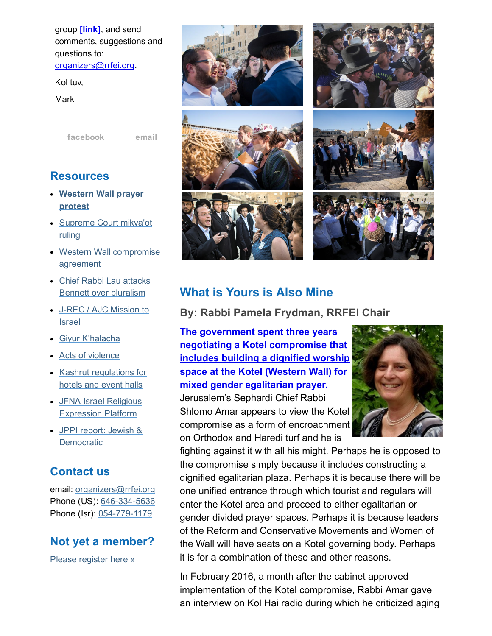group [\[link\],](http://cts.vresp.com/c/?FreedomofReligionfor/95a7d0459c/325ceb4427/66431f9775) and send comments, suggestions and questions to: [organizers@rrfei.org.](mailto:organizers@rrfei.org)

Kol tuv,

Mark

[facebook](http://cts.vresp.com/c/?FreedomofReligionfor/95a7d0459c/325ceb4427/72ae938971) [email](mailto:organizers@rrfei.org)

### **Resources**

- [Western](http://cts.vresp.com/c/?FreedomofReligionfor/95a7d0459c/325ceb4427/b94bb3a713) Wall prayer protest
- [Supreme](http://cts.vresp.com/c/?FreedomofReligionfor/95a7d0459c/325ceb4427/c6713c8eb3) Court mikva'ot ruling
- Western Wall [compromise](http://cts.vresp.com/c/?FreedomofReligionfor/95a7d0459c/325ceb4427/1428dad0e6) agreement
- Chief Rabbi Lau attacks Bennett over [pluralism](http://cts.vresp.com/c/?FreedomofReligionfor/95a7d0459c/325ceb4427/a6f3028f89)
- J-REC / AJC [Mission](http://cts.vresp.com/c/?FreedomofReligionfor/95a7d0459c/325ceb4427/9fd61e39c3) to Israel
- Giyur [K'halacha](http://cts.vresp.com/c/?FreedomofReligionfor/95a7d0459c/325ceb4427/9da20c5f3a)
- Acts of [violence](http://cts.vresp.com/c/?FreedomofReligionfor/95a7d0459c/325ceb4427/723cb284cf)
- Kashrut [regulations](http://cts.vresp.com/c/?FreedomofReligionfor/95a7d0459c/325ceb4427/7e9f7e7b0c) for hotels and event halls
- JFNA Israel Religious [Expression](http://cts.vresp.com/c/?FreedomofReligionfor/95a7d0459c/325ceb4427/9bb7efe3a2) Platform
- JPPI report: Jewish & **[Democratic](http://cts.vresp.com/c/?FreedomofReligionfor/95a7d0459c/325ceb4427/d53c3fdafa)**

#### Contact us

email: [organizers@rrfei.org](mailto:organizers@rrfei.org) Phone (US): 646-334-5636 Phone (Isr): 054-779-1179

#### Not yet a member?

Please [register](http://cts.vresp.com/c/?FreedomofReligionfor/95a7d0459c/325ceb4427/9ff724ce97) here »













# What is Yours is Also Mine

By: Rabbi Pamela Frydman, RRFEI Chair

The government spent three years negotiating a Kotel [compromise](http://cts.vresp.com/c/?FreedomofReligionfor/95a7d0459c/325ceb4427/bcabcd5678) that includes building a dignified worship space at the Kotel (Western Wall) for mixed gender egalitarian prayer.

Jerusalem's Sephardi Chief Rabbi Shlomo Amar appears to view the Kotel compromise as a form of encroachment on Orthodox and Haredi turf and he is



fighting against it with all his might. Perhaps he is opposed to the compromise simply because it includes constructing a dignified egalitarian plaza. Perhaps it is because there will be one unified entrance through which tourist and regulars will enter the Kotel area and proceed to either egalitarian or gender divided prayer spaces. Perhaps it is because leaders of the Reform and Conservative Movements and Women of the Wall will have seats on a Kotel governing body. Perhaps it is for a combination of these and other reasons.

In February 2016, a month after the cabinet approved implementation of the Kotel compromise, Rabbi Amar gave an interview on Kol Hai radio during which he criticized aging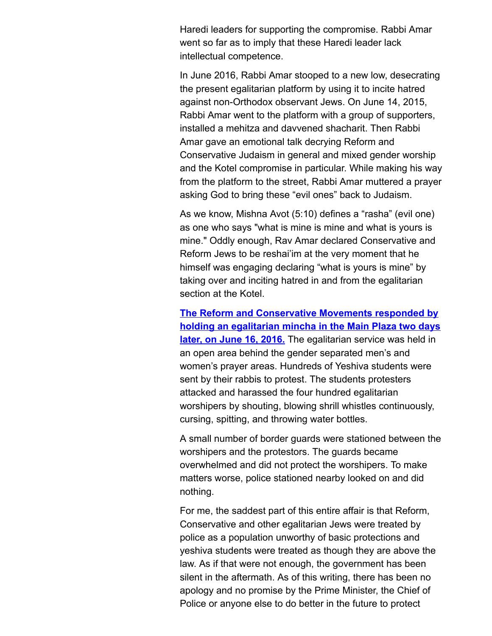Haredi leaders for supporting the compromise. Rabbi Amar went so far as to imply that these Haredi leader lack intellectual competence.

In June 2016, Rabbi Amar stooped to a new low, desecrating the present egalitarian platform by using it to incite hatred against non-Orthodox observant Jews. On June 14, 2015, Rabbi Amar went to the platform with a group of supporters, installed a mehitza and davvened shacharit. Then Rabbi Amar gave an emotional talk decrying Reform and Conservative Judaism in general and mixed gender worship and the Kotel compromise in particular. While making his way from the platform to the street, Rabbi Amar muttered a prayer asking God to bring these "evil ones" back to Judaism.

As we know, Mishna Avot (5:10) defines a "rasha" (evil one) as one who says "what is mine is mine and what is yours is mine." Oddly enough, Rav Amar declared Conservative and Reform Jews to be reshai'im at the very moment that he himself was engaging declaring "what is yours is mine" by taking over and inciting hatred in and from the egalitarian section at the Kotel.

The Reform and [Conservative](http://cts.vresp.com/c/?FreedomofReligionfor/95a7d0459c/325ceb4427/5b03c96ac1) Movements responded by holding an egalitarian mincha in the Main Plaza two days later, on June 16, 2016. The egalitarian service was held in an open area behind the gender separated men's and women's prayer areas. Hundreds of Yeshiva students were sent by their rabbis to protest. The students protesters attacked and harassed the four hundred egalitarian worshipers by shouting, blowing shrill whistles continuously, cursing, spitting, and throwing water bottles.

A small number of border guards were stationed between the worshipers and the protestors. The guards became overwhelmed and did not protect the worshipers. To make matters worse, police stationed nearby looked on and did nothing.

For me, the saddest part of this entire affair is that Reform, Conservative and other egalitarian Jews were treated by police as a population unworthy of basic protections and yeshiva students were treated as though they are above the law. As if that were not enough, the government has been silent in the aftermath. As of this writing, there has been no apology and no promise by the Prime Minister, the Chief of Police or anyone else to do better in the future to protect